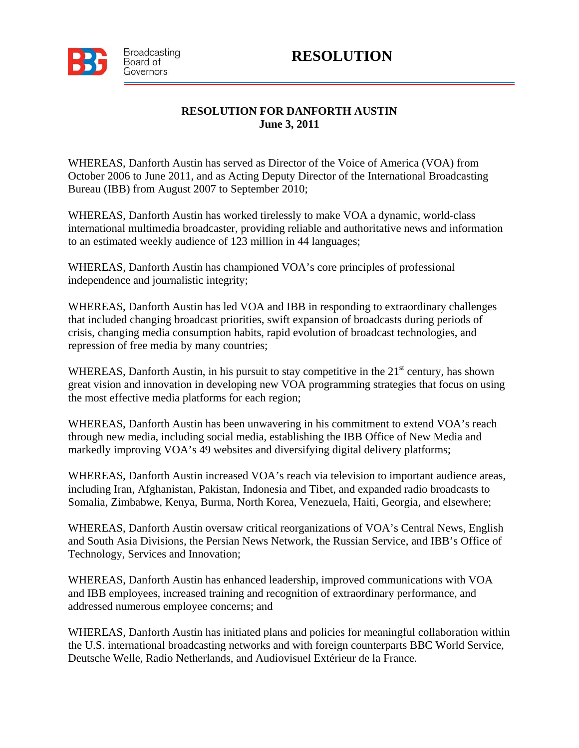



## **RESOLUTION FOR DANFORTH AUSTIN June 3, 2011**

WHEREAS, Danforth Austin has served as Director of the Voice of America (VOA) from October 2006 to June 2011, and as Acting Deputy Director of the International Broadcasting Bureau (IBB) from August 2007 to September 2010;

WHEREAS, Danforth Austin has worked tirelessly to make VOA a dynamic, world-class international multimedia broadcaster, providing reliable and authoritative news and information to an estimated weekly audience of 123 million in 44 languages;

WHEREAS, Danforth Austin has championed VOA's core principles of professional independence and journalistic integrity;

WHEREAS, Danforth Austin has led VOA and IBB in responding to extraordinary challenges that included changing broadcast priorities, swift expansion of broadcasts during periods of crisis, changing media consumption habits, rapid evolution of broadcast technologies, and repression of free media by many countries;

WHEREAS, Danforth Austin, in his pursuit to stay competitive in the 21<sup>st</sup> century, has shown great vision and innovation in developing new VOA programming strategies that focus on using the most effective media platforms for each region;

WHEREAS, Danforth Austin has been unwavering in his commitment to extend VOA's reach through new media, including social media, establishing the IBB Office of New Media and markedly improving VOA's 49 websites and diversifying digital delivery platforms;

WHEREAS, Danforth Austin increased VOA's reach via television to important audience areas, including Iran, Afghanistan, Pakistan, Indonesia and Tibet, and expanded radio broadcasts to Somalia, Zimbabwe, Kenya, Burma, North Korea, Venezuela, Haiti, Georgia, and elsewhere;

WHEREAS, Danforth Austin oversaw critical reorganizations of VOA's Central News, English and South Asia Divisions, the Persian News Network, the Russian Service, and IBB's Office of Technology, Services and Innovation;

WHEREAS, Danforth Austin has enhanced leadership, improved communications with VOA and IBB employees, increased training and recognition of extraordinary performance, and addressed numerous employee concerns; and

WHEREAS, Danforth Austin has initiated plans and policies for meaningful collaboration within the U.S. international broadcasting networks and with foreign counterparts BBC World Service, Deutsche Welle, Radio Netherlands, and Audiovisuel Extérieur de la France.